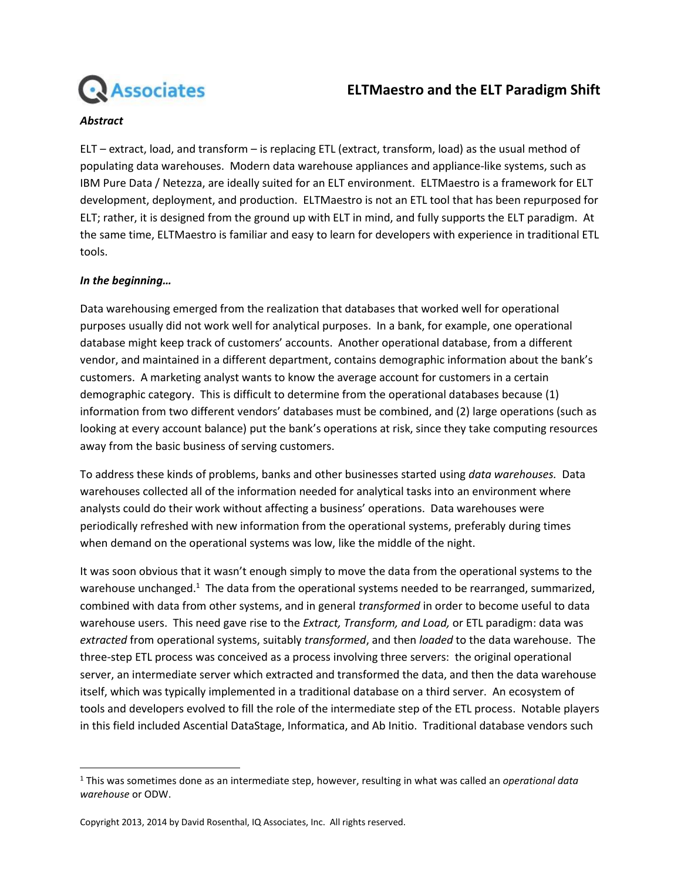

# **ELTMaestro and the ELT Paradigm Shift**

#### *Abstract*

ELT – extract, load, and transform – is replacing ETL (extract, transform, load) as the usual method of populating data warehouses. Modern data warehouse appliances and appliance-like systems, such as IBM Pure Data / Netezza, are ideally suited for an ELT environment. ELTMaestro is a framework for ELT development, deployment, and production. ELTMaestro is not an ETL tool that has been repurposed for ELT; rather, it is designed from the ground up with ELT in mind, and fully supports the ELT paradigm. At the same time, ELTMaestro is familiar and easy to learn for developers with experience in traditional ETL tools.

#### *In the beginning…*

l

Data warehousing emerged from the realization that databases that worked well for operational purposes usually did not work well for analytical purposes. In a bank, for example, one operational database might keep track of customers' accounts. Another operational database, from a different vendor, and maintained in a different department, contains demographic information about the bank's customers. A marketing analyst wants to know the average account for customers in a certain demographic category. This is difficult to determine from the operational databases because (1) information from two different vendors' databases must be combined, and (2) large operations (such as looking at every account balance) put the bank's operations at risk, since they take computing resources away from the basic business of serving customers.

To address these kinds of problems, banks and other businesses started using *data warehouses.* Data warehouses collected all of the information needed for analytical tasks into an environment where analysts could do their work without affecting a business' operations. Data warehouses were periodically refreshed with new information from the operational systems, preferably during times when demand on the operational systems was low, like the middle of the night.

It was soon obvious that it wasn't enough simply to move the data from the operational systems to the warehouse unchanged.<sup>1</sup> The data from the operational systems needed to be rearranged, summarized, combined with data from other systems, and in general *transformed* in order to become useful to data warehouse users. This need gave rise to the *Extract, Transform, and Load,* or ETL paradigm: data was *extracted* from operational systems, suitably *transformed*, and then *loaded* to the data warehouse. The three-step ETL process was conceived as a process involving three servers: the original operational server, an intermediate server which extracted and transformed the data, and then the data warehouse itself, which was typically implemented in a traditional database on a third server. An ecosystem of tools and developers evolved to fill the role of the intermediate step of the ETL process. Notable players in this field included Ascential DataStage, Informatica, and Ab Initio. Traditional database vendors such

<sup>1</sup> This was sometimes done as an intermediate step, however, resulting in what was called an *operational data warehouse* or ODW.

Copyright 2013, 2014 by David Rosenthal, IQ Associates, Inc. All rights reserved.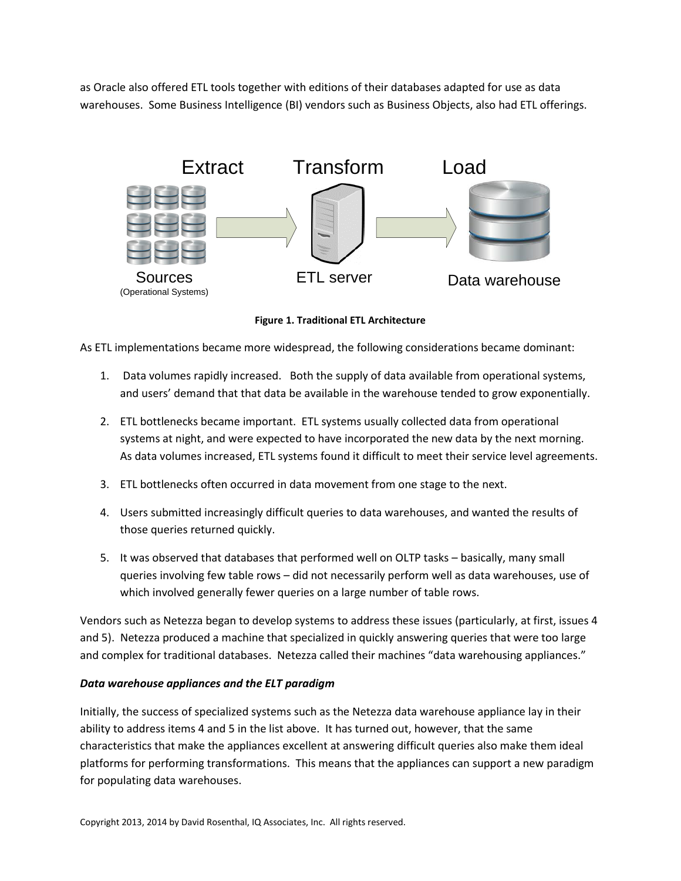as Oracle also offered ETL tools together with editions of their databases adapted for use as data warehouses. Some Business Intelligence (BI) vendors such as Business Objects, also had ETL offerings.



**Figure 1. Traditional ETL Architecture**

As ETL implementations became more widespread, the following considerations became dominant:

- 1. Data volumes rapidly increased. Both the supply of data available from operational systems, and users' demand that that data be available in the warehouse tended to grow exponentially.
- 2. ETL bottlenecks became important. ETL systems usually collected data from operational systems at night, and were expected to have incorporated the new data by the next morning. As data volumes increased, ETL systems found it difficult to meet their service level agreements.
- 3. ETL bottlenecks often occurred in data movement from one stage to the next.
- 4. Users submitted increasingly difficult queries to data warehouses, and wanted the results of those queries returned quickly.
- 5. It was observed that databases that performed well on OLTP tasks basically, many small queries involving few table rows – did not necessarily perform well as data warehouses, use of which involved generally fewer queries on a large number of table rows.

Vendors such as Netezza began to develop systems to address these issues (particularly, at first, issues 4 and 5). Netezza produced a machine that specialized in quickly answering queries that were too large and complex for traditional databases. Netezza called their machines "data warehousing appliances."

#### *Data warehouse appliances and the ELT paradigm*

Initially, the success of specialized systems such as the Netezza data warehouse appliance lay in their ability to address items 4 and 5 in the list above. It has turned out, however, that the same characteristics that make the appliances excellent at answering difficult queries also make them ideal platforms for performing transformations. This means that the appliances can support a new paradigm for populating data warehouses.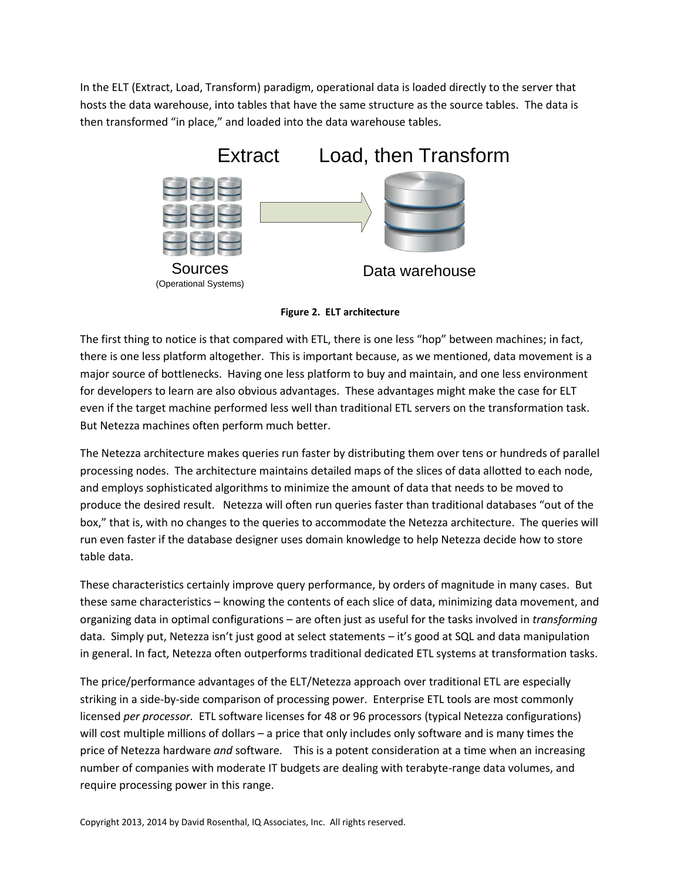In the ELT (Extract, Load, Transform) paradigm, operational data is loaded directly to the server that hosts the data warehouse, into tables that have the same structure as the source tables. The data is then transformed "in place," and loaded into the data warehouse tables.



**Figure 2. ELT architecture**

The first thing to notice is that compared with ETL, there is one less "hop" between machines; in fact, there is one less platform altogether. This is important because, as we mentioned, data movement is a major source of bottlenecks. Having one less platform to buy and maintain, and one less environment for developers to learn are also obvious advantages. These advantages might make the case for ELT even if the target machine performed less well than traditional ETL servers on the transformation task. But Netezza machines often perform much better.

The Netezza architecture makes queries run faster by distributing them over tens or hundreds of parallel processing nodes. The architecture maintains detailed maps of the slices of data allotted to each node, and employs sophisticated algorithms to minimize the amount of data that needs to be moved to produce the desired result. Netezza will often run queries faster than traditional databases "out of the box," that is, with no changes to the queries to accommodate the Netezza architecture. The queries will run even faster if the database designer uses domain knowledge to help Netezza decide how to store table data.

These characteristics certainly improve query performance, by orders of magnitude in many cases. But these same characteristics – knowing the contents of each slice of data, minimizing data movement, and organizing data in optimal configurations – are often just as useful for the tasks involved in *transforming* data. Simply put, Netezza isn't just good at select statements – it's good at SQL and data manipulation in general. In fact, Netezza often outperforms traditional dedicated ETL systems at transformation tasks.

The price/performance advantages of the ELT/Netezza approach over traditional ETL are especially striking in a side-by-side comparison of processing power. Enterprise ETL tools are most commonly licensed *per processor.* ETL software licenses for 48 or 96 processors (typical Netezza configurations) will cost multiple millions of dollars – a price that only includes only software and is many times the price of Netezza hardware *and* software. This is a potent consideration at a time when an increasing number of companies with moderate IT budgets are dealing with terabyte-range data volumes, and require processing power in this range.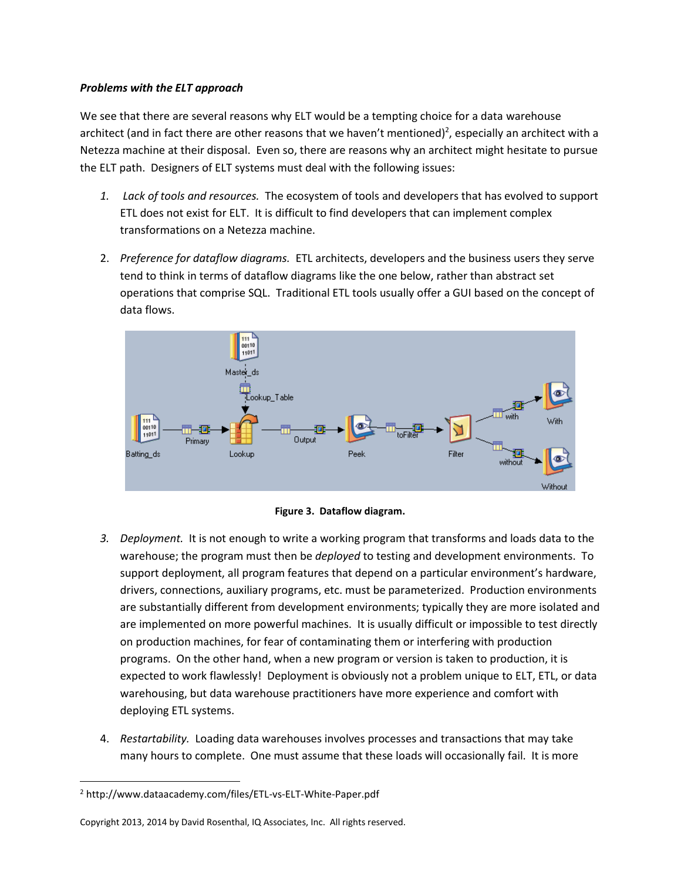### *Problems with the ELT approach*

We see that there are several reasons why ELT would be a tempting choice for a data warehouse architect (and in fact there are other reasons that we haven't mentioned)<sup>2</sup>, especially an architect with a Netezza machine at their disposal. Even so, there are reasons why an architect might hesitate to pursue the ELT path. Designers of ELT systems must deal with the following issues:

- *1. Lack of tools and resources.* The ecosystem of tools and developers that has evolved to support ETL does not exist for ELT. It is difficult to find developers that can implement complex transformations on a Netezza machine.
- 2. *Preference for dataflow diagrams.* ETL architects, developers and the business users they serve tend to think in terms of dataflow diagrams like the one below, rather than abstract set operations that comprise SQL. Traditional ETL tools usually offer a GUI based on the concept of data flows.



**Figure 3. Dataflow diagram.**

- *3. Deployment.* It is not enough to write a working program that transforms and loads data to the warehouse; the program must then be *deployed* to testing and development environments. To support deployment, all program features that depend on a particular environment's hardware, drivers, connections, auxiliary programs, etc. must be parameterized. Production environments are substantially different from development environments; typically they are more isolated and are implemented on more powerful machines. It is usually difficult or impossible to test directly on production machines, for fear of contaminating them or interfering with production programs. On the other hand, when a new program or version is taken to production, it is expected to work flawlessly! Deployment is obviously not a problem unique to ELT, ETL, or data warehousing, but data warehouse practitioners have more experience and comfort with deploying ETL systems.
- 4. *Restartability.* Loading data warehouses involves processes and transactions that may take many hours to complete. One must assume that these loads will occasionally fail. It is more

 $\overline{\phantom{a}}$ 

<sup>2</sup> http://www.dataacademy.com/files/ETL-vs-ELT-White-Paper.pdf

Copyright 2013, 2014 by David Rosenthal, IQ Associates, Inc. All rights reserved.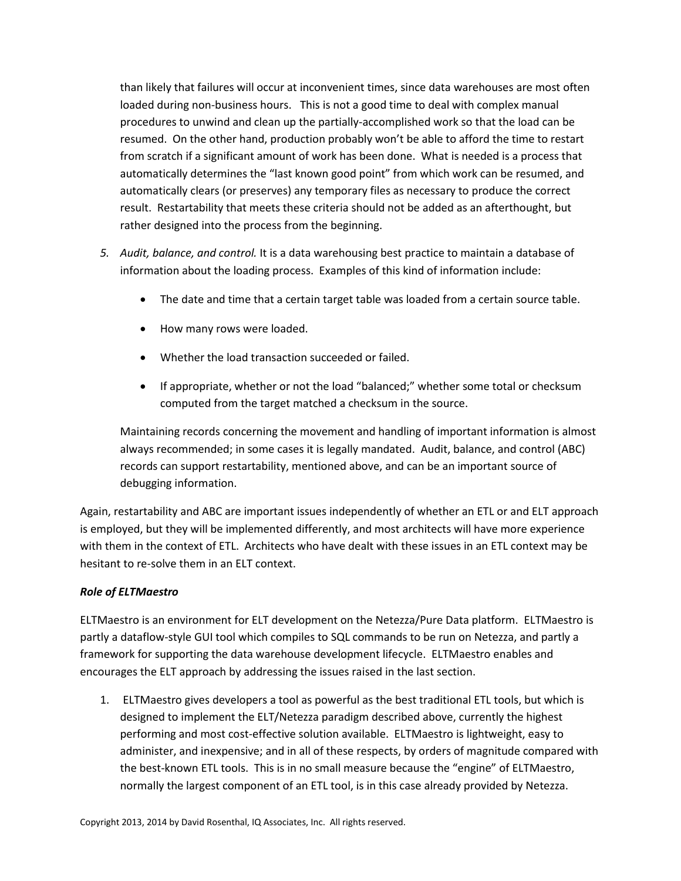than likely that failures will occur at inconvenient times, since data warehouses are most often loaded during non-business hours. This is not a good time to deal with complex manual procedures to unwind and clean up the partially-accomplished work so that the load can be resumed. On the other hand, production probably won't be able to afford the time to restart from scratch if a significant amount of work has been done. What is needed is a process that automatically determines the "last known good point" from which work can be resumed, and automatically clears (or preserves) any temporary files as necessary to produce the correct result. Restartability that meets these criteria should not be added as an afterthought, but rather designed into the process from the beginning.

- *5. Audit, balance, and control.* It is a data warehousing best practice to maintain a database of information about the loading process. Examples of this kind of information include:
	- The date and time that a certain target table was loaded from a certain source table.
	- How many rows were loaded.
	- Whether the load transaction succeeded or failed.
	- If appropriate, whether or not the load "balanced;" whether some total or checksum computed from the target matched a checksum in the source.

Maintaining records concerning the movement and handling of important information is almost always recommended; in some cases it is legally mandated. Audit, balance, and control (ABC) records can support restartability, mentioned above, and can be an important source of debugging information.

Again, restartability and ABC are important issues independently of whether an ETL or and ELT approach is employed, but they will be implemented differently, and most architects will have more experience with them in the context of ETL. Architects who have dealt with these issues in an ETL context may be hesitant to re-solve them in an ELT context.

## *Role of ELTMaestro*

ELTMaestro is an environment for ELT development on the Netezza/Pure Data platform. ELTMaestro is partly a dataflow-style GUI tool which compiles to SQL commands to be run on Netezza, and partly a framework for supporting the data warehouse development lifecycle. ELTMaestro enables and encourages the ELT approach by addressing the issues raised in the last section.

1. ELTMaestro gives developers a tool as powerful as the best traditional ETL tools, but which is designed to implement the ELT/Netezza paradigm described above, currently the highest performing and most cost-effective solution available. ELTMaestro is lightweight, easy to administer, and inexpensive; and in all of these respects, by orders of magnitude compared with the best-known ETL tools. This is in no small measure because the "engine" of ELTMaestro, normally the largest component of an ETL tool, is in this case already provided by Netezza.